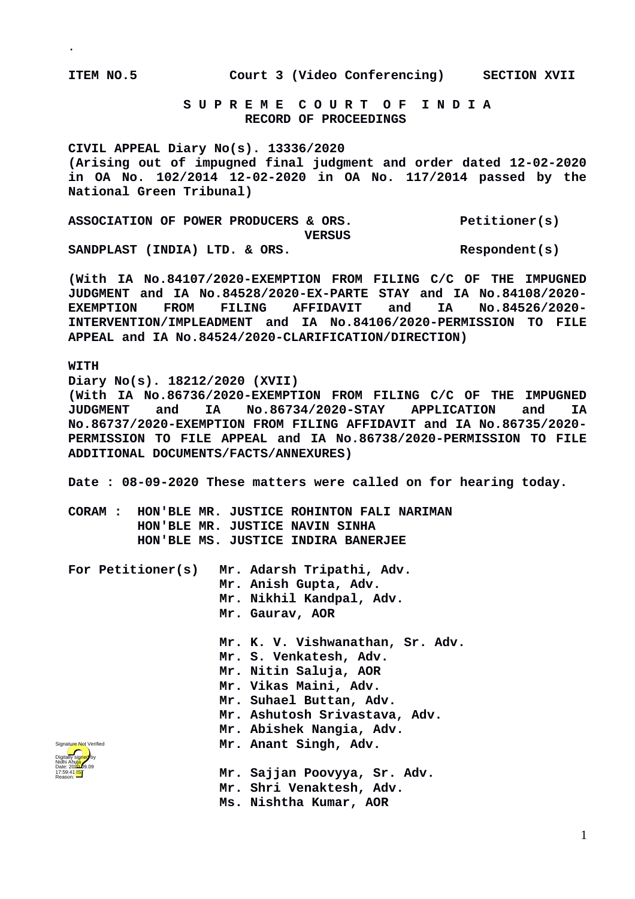**.**

**ITEM NO.5 Court 3 (Video Conferencing) SECTION XVII**

 **S U P R E M E C O U R T O F I N D I A RECORD OF PROCEEDINGS**

**CIVIL APPEAL Diary No(s). 13336/2020 (Arising out of impugned final judgment and order dated 12-02-2020 in OA No. 102/2014 12-02-2020 in OA No. 117/2014 passed by the National Green Tribunal)**

ASSOCIATION OF POWER PRODUCERS & ORS. Petitioner(s) **VERSUS** SANDPLAST (INDIA) LTD. & ORS. Respondent(s)

**(With IA No.84107/2020-EXEMPTION FROM FILING C/C OF THE IMPUGNED JUDGMENT and IA No.84528/2020-EX-PARTE STAY and IA No.84108/2020- EXEMPTION FROM FILING AFFIDAVIT and IA No.84526/2020- INTERVENTION/IMPLEADMENT and IA No.84106/2020-PERMISSION TO FILE APPEAL and IA No.84524/2020-CLARIFICATION/DIRECTION)**

**WITH**

**Diary No(s). 18212/2020 (XVII) (With IA No.86736/2020-EXEMPTION FROM FILING C/C OF THE IMPUGNED JUDGMENT and IA No.86734/2020-STAY APPLICATION and IA No.86737/2020-EXEMPTION FROM FILING AFFIDAVIT and IA No.86735/2020- PERMISSION TO FILE APPEAL and IA No.86738/2020-PERMISSION TO FILE ADDITIONAL DOCUMENTS/FACTS/ANNEXURES)**

**Date : 08-09-2020 These matters were called on for hearing today.**

**CORAM : HON'BLE MR. JUSTICE ROHINTON FALI NARIMAN HON'BLE MR. JUSTICE NAVIN SINHA HON'BLE MS. JUSTICE INDIRA BANERJEE**

|                                                                                                                | For Petitioner(s) Mr. Adarsh Tripathi, Adv.<br>Mr. Anish Gupta, Adv. |
|----------------------------------------------------------------------------------------------------------------|----------------------------------------------------------------------|
|                                                                                                                | Mr. Nikhil Kandpal, Adv.                                             |
|                                                                                                                | Mr. Gaurav, AOR                                                      |
|                                                                                                                | Mr. K. V. Vishwanathan, Sr. Adv.                                     |
|                                                                                                                | Mr. S. Venkatesh, Adv.                                               |
|                                                                                                                | Mr. Nitin Saluja, AOR                                                |
|                                                                                                                | Mr. Vikas Maini, Adv.                                                |
|                                                                                                                | Mr. Suhael Buttan, Adv.                                              |
|                                                                                                                | Mr. Ashutosh Srivastava, Adv.                                        |
|                                                                                                                | Mr. Abishek Nangia, Adv.                                             |
| Signature Not Verified                                                                                         | Mr. Anant Singh, Adv.                                                |
| Digitally sig <mark>ńeg</mark> by<br>Nidhi Ahula<br>vidni Anu <mark>ja</mark><br>Date: 202 <del>0.</del> 09.09 |                                                                      |
|                                                                                                                | Mr. Sajjan Poovyya, Sr. Adv.                                         |
|                                                                                                                | Mr. Shri Venaktesh, Adv.                                             |
|                                                                                                                | Ms. Nishtha Kumar, AOR                                               |

1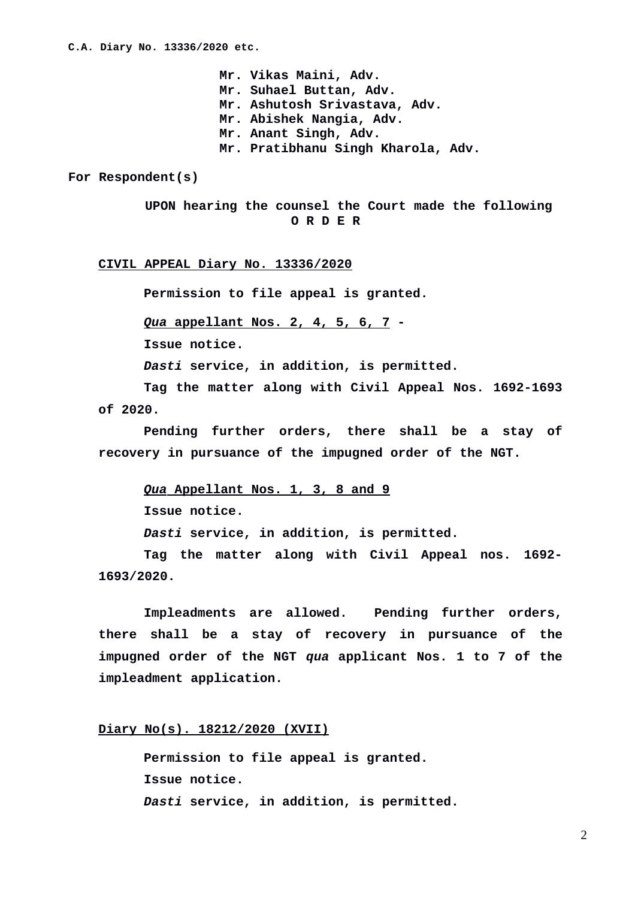**Mr. Vikas Maini, Adv. Mr. Suhael Buttan, Adv. Mr. Ashutosh Srivastava, Adv. Mr. Abishek Nangia, Adv. Mr. Anant Singh, Adv. Mr. Pratibhanu Singh Kharola, Adv.**

**For Respondent(s)**

 **UPON hearing the counsel the Court made the following O R D E R**

**CIVIL APPEAL Diary No. 13336/2020**

**Permission to file appeal is granted.**

 *Qua***appellant Nos. 2, 4, 5, 6, 7 -**

**Issue notice.**

*Dasti* **service, in addition, is permitted.**

**Tag the matter along with Civil Appeal Nos. 1692-1693 of 2020.**

**Pending further orders, there shall be a stay of recovery in pursuance of the impugned order of the NGT.**

 *Qua* **Appellant Nos. 1, 3, 8 and 9 Issue notice.** *Dasti* **service, in addition, is permitted.**

**Tag the matter along with Civil Appeal nos. 1692- 1693/2020.**

**Impleadments are allowed. Pending further orders, there shall be a stay of recovery in pursuance of the impugned order of the NGT** *qua* **applicant Nos. 1 to 7 of the impleadment application.**

## **Diary No(s). 18212/2020 (XVII)**

**Permission to file appeal is granted. Issue notice.** *Dasti* **service, in addition, is permitted.**